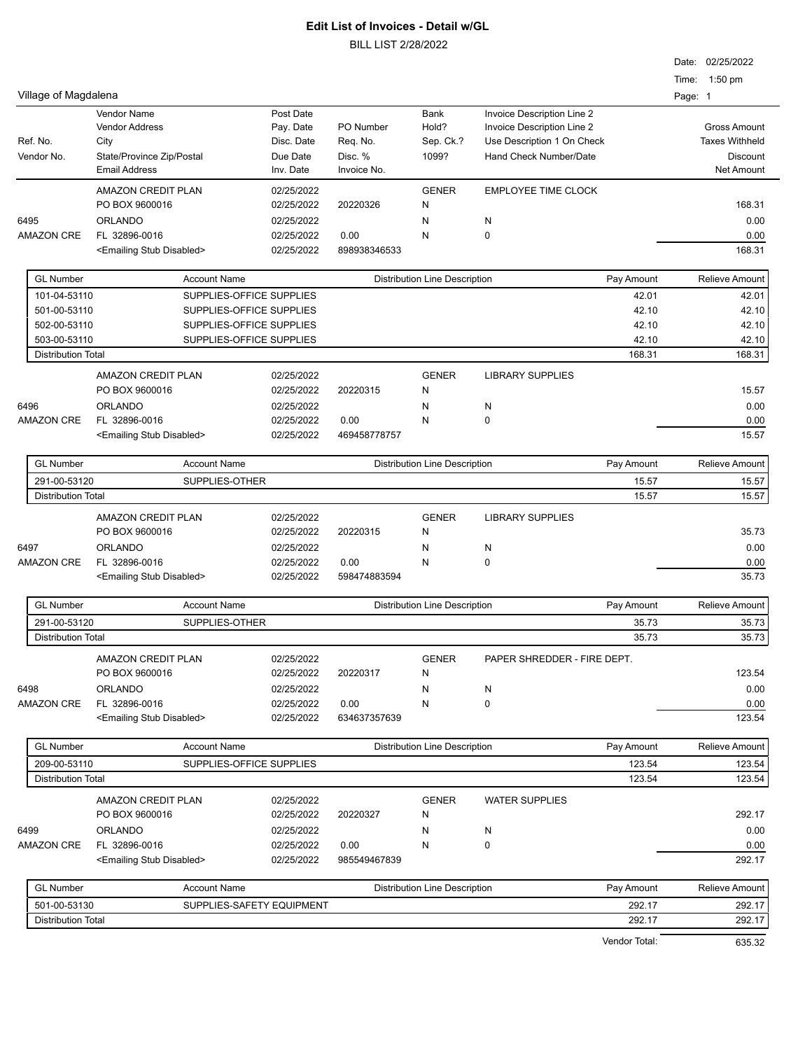BILL LIST 2/28/2022

|                           |                                             |                           |                                                    |                                      |                                                          | Date: 02/25/2022      |
|---------------------------|---------------------------------------------|---------------------------|----------------------------------------------------|--------------------------------------|----------------------------------------------------------|-----------------------|
|                           |                                             |                           |                                                    |                                      |                                                          | Time: 1:50 pm         |
| Village of Magdalena      |                                             |                           |                                                    |                                      |                                                          | Page: 1               |
|                           | <b>Vendor Name</b><br><b>Vendor Address</b> | Post Date                 | PO Number                                          | Bank<br>Hold?                        | Invoice Description Line 2                               | <b>Gross Amount</b>   |
| Ref. No.                  | City                                        | Pay. Date<br>Disc. Date   | Req. No.                                           | Sep. Ck.?                            | Invoice Description Line 2<br>Use Description 1 On Check | <b>Taxes Withheld</b> |
| Vendor No.                | State/Province Zip/Postal                   | Due Date                  | Disc. %                                            | 1099?                                | <b>Hand Check Number/Date</b>                            | <b>Discount</b>       |
|                           | <b>Email Address</b>                        | Inv. Date                 | Invoice No.                                        |                                      |                                                          | <b>Net Amount</b>     |
|                           | <b>AMAZON CREDIT PLAN</b>                   | 02/25/2022                |                                                    | <b>GENER</b>                         | <b>EMPLOYEE TIME CLOCK</b>                               |                       |
|                           | PO BOX 9600016                              | 02/25/2022                | 20220326                                           | N                                    |                                                          | 168.31                |
| 6495                      | <b>ORLANDO</b>                              | 02/25/2022                |                                                    | N                                    | N                                                        | 0.00                  |
| <b>AMAZON CRE</b>         | FL 32896-0016                               | 02/25/2022                | 0.00                                               | N                                    | $\mathbf 0$                                              | 0.00                  |
|                           | <emailing disabled="" stub=""></emailing>   | 02/25/2022                | 898938346533                                       |                                      |                                                          | 168.31                |
| <b>GL Number</b>          | <b>Account Name</b>                         |                           |                                                    | <b>Distribution Line Description</b> | Pay Amount                                               | <b>Relieve Amount</b> |
| 101-04-53110              |                                             | SUPPLIES-OFFICE SUPPLIES  |                                                    |                                      | 42.01                                                    | 42.01                 |
| 501-00-53110              |                                             | SUPPLIES-OFFICE SUPPLIES  |                                                    |                                      | 42.10                                                    | 42.10                 |
| 502-00-53110              |                                             | SUPPLIES-OFFICE SUPPLIES  |                                                    |                                      | 42.10                                                    | 42.10                 |
| 503-00-53110              |                                             | SUPPLIES-OFFICE SUPPLIES  |                                                    |                                      | 42.10                                                    | 42.10                 |
| <b>Distribution Total</b> |                                             |                           |                                                    |                                      | 168.31                                                   | 168.31                |
|                           | <b>AMAZON CREDIT PLAN</b>                   | 02/25/2022                |                                                    | <b>GENER</b>                         | <b>LIBRARY SUPPLIES</b>                                  |                       |
|                           | PO BOX 9600016                              | 02/25/2022                | 20220315                                           | N                                    |                                                          | 15.57                 |
| 6496                      | <b>ORLANDO</b>                              | 02/25/2022                |                                                    | N                                    | N                                                        | 0.00                  |
| <b>AMAZON CRE</b>         | FL 32896-0016                               | 02/25/2022                | 0.00                                               | N                                    | $\mathbf 0$                                              | 0.00                  |
|                           | <emailing disabled="" stub=""></emailing>   | 02/25/2022                | 469458778757                                       |                                      |                                                          | 15.57                 |
| <b>GL Number</b>          | <b>Account Name</b>                         |                           |                                                    | <b>Distribution Line Description</b> | Pay Amount                                               | Relieve Amount        |
| 291-00-53120              | SUPPLIES-OTHER                              |                           |                                                    |                                      | 15.57                                                    | 15.57                 |
| <b>Distribution Total</b> |                                             |                           |                                                    |                                      | 15.57                                                    | 15.57                 |
|                           | AMAZON CREDIT PLAN                          | 02/25/2022                |                                                    | <b>GENER</b>                         | <b>LIBRARY SUPPLIES</b>                                  |                       |
|                           | PO BOX 9600016                              | 02/25/2022                | 20220315                                           | N                                    |                                                          | 35.73                 |
| 6497                      | <b>ORLANDO</b>                              | 02/25/2022                |                                                    | N                                    | N                                                        | 0.00                  |
| <b>AMAZON CRE</b>         | FL 32896-0016                               | 02/25/2022                | 0.00                                               | N                                    | 0                                                        | 0.00                  |
|                           | <emailing disabled="" stub=""></emailing>   | 02/25/2022                | 598474883594                                       |                                      |                                                          | 35.73                 |
| <b>GL Number</b>          | <b>Account Name</b>                         |                           |                                                    | <b>Distribution Line Description</b> | Pay Amount                                               | Relieve Amount        |
| 291-00-53120              | SUPPLIES-OTHER                              |                           |                                                    |                                      | 35.73                                                    | 35.73                 |
| <b>Distribution Total</b> |                                             |                           |                                                    |                                      | 35.73                                                    | 35.73                 |
|                           | AMAZON CREDIT PLAN                          | 02/25/2022                |                                                    | <b>GENER</b>                         | PAPER SHREDDER - FIRE DEPT.                              |                       |
|                           | PO BOX 9600016                              | 02/25/2022                | 20220317                                           | N                                    |                                                          | 123.54                |
| 6498                      | <b>ORLANDO</b>                              | 02/25/2022                |                                                    | N                                    | N                                                        | 0.00                  |
| <b>AMAZON CRE</b>         | FL 32896-0016                               | 02/25/2022                | 0.00                                               | N                                    | 0                                                        | 0.00                  |
|                           | <emailing disabled="" stub=""></emailing>   | 02/25/2022                | 634637357639                                       |                                      |                                                          | 123.54                |
| <b>GL Number</b>          | <b>Account Name</b>                         |                           |                                                    | <b>Distribution Line Description</b> | Pay Amount                                               | Relieve Amount        |
| 209-00-53110              |                                             | SUPPLIES-OFFICE SUPPLIES  |                                                    |                                      | 123.54                                                   | 123.54                |
| <b>Distribution Total</b> |                                             |                           |                                                    |                                      | 123.54                                                   | 123.54                |
|                           | AMAZON CREDIT PLAN                          | 02/25/2022                |                                                    | <b>GENER</b>                         | <b>WATER SUPPLIES</b>                                    |                       |
|                           | PO BOX 9600016                              | 02/25/2022                | 20220327                                           | N                                    |                                                          | 292.17                |
| 6499                      | <b>ORLANDO</b>                              | 02/25/2022                |                                                    | N                                    | N                                                        | 0.00                  |
| <b>AMAZON CRE</b>         | FL 32896-0016                               | 02/25/2022                | 0.00                                               | N                                    | 0                                                        | 0.00                  |
|                           | <emailing disabled="" stub=""></emailing>   | 02/25/2022                | 985549467839                                       |                                      |                                                          | 292.17                |
| <b>GL Number</b>          | <b>Account Name</b>                         |                           | <b>Distribution Line Description</b><br>Pay Amount |                                      |                                                          | Relieve Amount        |
| 501-00-53130              |                                             | SUPPLIES-SAFETY EQUIPMENT |                                                    |                                      | 292.17                                                   | 292.17                |
| <b>Distribution Total</b> |                                             |                           |                                                    |                                      | 292.17                                                   | 292.17                |

Vendor Total: 635.32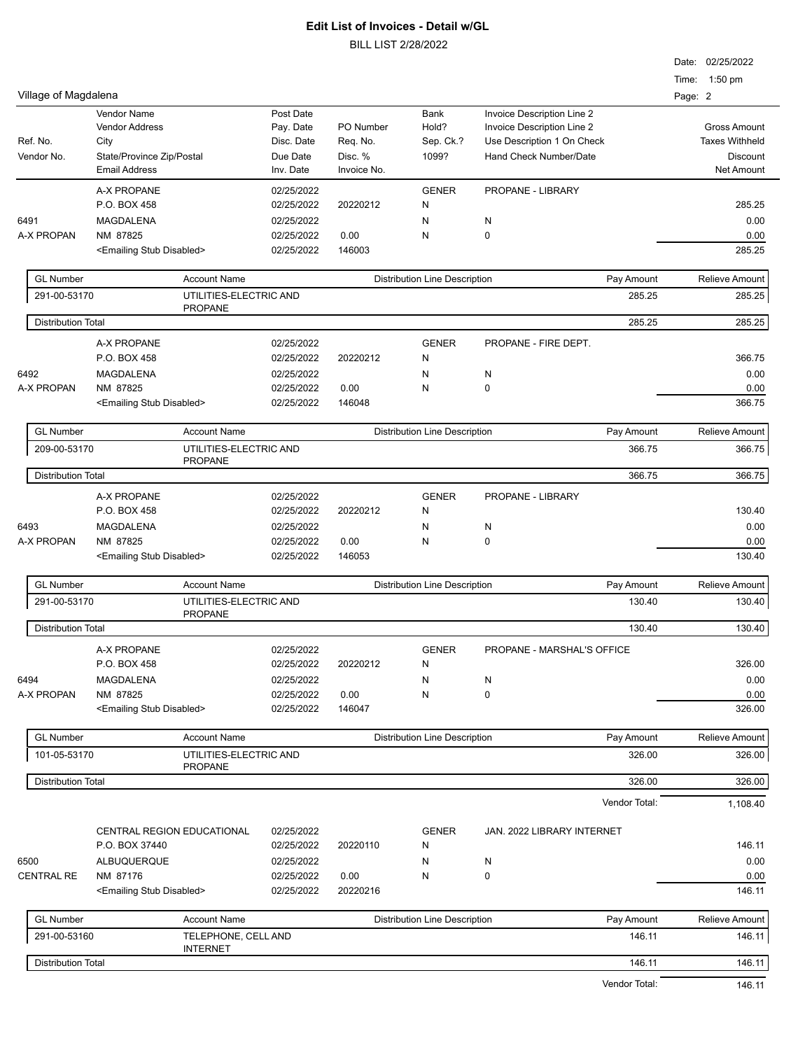|                           |                                                                     |                                      |                  |                                      |                            | Date: 02/25/2022      |
|---------------------------|---------------------------------------------------------------------|--------------------------------------|------------------|--------------------------------------|----------------------------|-----------------------|
|                           |                                                                     |                                      |                  |                                      |                            | Time: 1:50 pm         |
| Village of Magdalena      |                                                                     |                                      |                  |                                      |                            | Page: 2               |
|                           | <b>Vendor Name</b>                                                  | Post Date                            |                  | <b>Bank</b>                          | Invoice Description Line 2 |                       |
|                           | <b>Vendor Address</b>                                               | Pay. Date                            | PO Number        | Hold?                                | Invoice Description Line 2 | <b>Gross Amount</b>   |
| Ref. No.                  | City                                                                | Disc. Date                           | Req. No.         | Sep. Ck.?                            | Use Description 1 On Check | <b>Taxes Withheld</b> |
| Vendor No.                | State/Province Zip/Postal                                           | Due Date                             | Disc. %          | 1099?                                | Hand Check Number/Date     | <b>Discount</b>       |
|                           | <b>Email Address</b>                                                | Inv. Date                            | Invoice No.      |                                      |                            | <b>Net Amount</b>     |
|                           | A-X PROPANE                                                         | 02/25/2022                           |                  | <b>GENER</b>                         | PROPANE - LIBRARY          |                       |
|                           | P.O. BOX 458                                                        | 02/25/2022                           | 20220212         | N                                    |                            | 285.25                |
| 6491                      | MAGDALENA                                                           | 02/25/2022                           |                  | N                                    | N                          | 0.00                  |
| A-X PROPAN                | NM 87825                                                            | 02/25/2022                           | 0.00             | N                                    | 0                          | 0.00                  |
|                           | <emailing disabled="" stub=""></emailing>                           | 02/25/2022                           | 146003           |                                      |                            | 285.25                |
| <b>GL Number</b>          | <b>Account Name</b>                                                 |                                      |                  | <b>Distribution Line Description</b> | Pay Amount                 | <b>Relieve Amount</b> |
| 291-00-53170              | UTILITIES-ELECTRIC AND                                              |                                      |                  |                                      | 285.25                     | 285.25                |
|                           | <b>PROPANE</b>                                                      |                                      |                  |                                      |                            |                       |
| <b>Distribution Total</b> |                                                                     |                                      |                  |                                      | 285.25                     | 285.25                |
|                           | <b>A-X PROPANE</b>                                                  | 02/25/2022                           |                  | <b>GENER</b>                         | PROPANE - FIRE DEPT.       |                       |
|                           | P.O. BOX 458                                                        | 02/25/2022                           | 20220212         | N                                    |                            | 366.75                |
| 6492                      | <b>MAGDALENA</b>                                                    | 02/25/2022                           |                  | N                                    | N                          | 0.00                  |
| A-X PROPAN                | NM 87825                                                            | 02/25/2022                           | 0.00             | N                                    | 0                          | 0.00                  |
|                           | <emailing disabled="" stub=""></emailing>                           | 02/25/2022                           | 146048           |                                      |                            | 366.75                |
| <b>GL Number</b>          | <b>Account Name</b>                                                 |                                      |                  | <b>Distribution Line Description</b> | Pay Amount                 | <b>Relieve Amount</b> |
| 209-00-53170              | UTILITIES-ELECTRIC AND                                              |                                      |                  |                                      | 366.75                     | 366.75                |
|                           | <b>PROPANE</b>                                                      |                                      |                  |                                      |                            |                       |
| <b>Distribution Total</b> |                                                                     |                                      |                  |                                      | 366.75                     | 366.75                |
|                           | A-X PROPANE                                                         | 02/25/2022                           |                  | <b>GENER</b>                         | PROPANE - LIBRARY          |                       |
|                           | P.O. BOX 458                                                        | 02/25/2022                           | 20220212         | N                                    |                            | 130.40                |
| 6493                      | MAGDALENA                                                           | 02/25/2022                           |                  | N                                    | N                          | 0.00                  |
| A-X PROPAN                | NM 87825                                                            | 02/25/2022                           | 0.00             | N                                    | 0                          | 0.00                  |
|                           | <emailing disabled="" stub=""></emailing>                           | 02/25/2022                           | 146053           |                                      |                            | 130.40                |
| <b>GL Number</b>          | <b>Account Name</b>                                                 |                                      |                  | <b>Distribution Line Description</b> | Pay Amount                 | Relieve Amount        |
| 291-00-53170              | UTILITIES-ELECTRIC AND                                              |                                      | 130.40           |                                      |                            | 130.40                |
|                           | <b>PROPANE</b>                                                      |                                      |                  |                                      | 130.40                     |                       |
| <b>Distribution Total</b> |                                                                     |                                      |                  |                                      |                            | 130.40                |
|                           | A-X PROPANE                                                         | 02/25/2022                           |                  | <b>GENER</b>                         | PROPANE - MARSHAL'S OFFICE |                       |
|                           | P.O. BOX 458                                                        | 02/25/2022                           | 20220212         | N                                    |                            | 326.00                |
| 6494                      | MAGDALENA                                                           | 02/25/2022                           |                  | N                                    | N                          | 0.00                  |
| A-X PROPAN                | NM 87825                                                            | 02/25/2022                           | 0.00             | N                                    | 0                          | 0.00                  |
|                           | <emailing disabled="" stub=""></emailing>                           | 02/25/2022                           | 146047           |                                      |                            | 326.00                |
| <b>GL Number</b>          | <b>Account Name</b>                                                 | <b>Distribution Line Description</b> |                  | Pay Amount                           | <b>Relieve Amount</b>      |                       |
| 101-05-53170              | UTILITIES-ELECTRIC AND                                              |                                      |                  |                                      | 326.00                     | 326.00                |
| <b>Distribution Total</b> | <b>PROPANE</b>                                                      |                                      |                  |                                      | 326.00                     | 326.00                |
|                           |                                                                     |                                      |                  |                                      | Vendor Total:              | 1,108.40              |
|                           |                                                                     |                                      |                  |                                      |                            |                       |
|                           | CENTRAL REGION EDUCATIONAL                                          | 02/25/2022                           |                  | <b>GENER</b>                         | JAN. 2022 LIBRARY INTERNET |                       |
|                           | P.O. BOX 37440                                                      | 02/25/2022                           | 20220110         | N                                    |                            | 146.11                |
| 6500                      | ALBUQUERQUE                                                         | 02/25/2022                           |                  | N                                    | N                          | 0.00                  |
| <b>CENTRAL RE</b>         | NM 87176<br>02/25/2022<br><emailing disabled="" stub=""></emailing> |                                      | 0.00<br>20220216 | N                                    | 0                          | 0.00<br>146.11        |
|                           |                                                                     | 02/25/2022                           |                  |                                      |                            |                       |
| <b>GL Number</b>          | <b>Account Name</b>                                                 |                                      |                  | <b>Distribution Line Description</b> | Pay Amount                 | <b>Relieve Amount</b> |
| 291-00-53160              | TELEPHONE, CELL AND                                                 |                                      |                  |                                      | 146.11                     | 146.11                |
| <b>Distribution Total</b> | <b>INTERNET</b>                                                     |                                      |                  |                                      | 146.11                     | 146.11                |
|                           |                                                                     |                                      |                  |                                      | Vendor Total:              | 146.11                |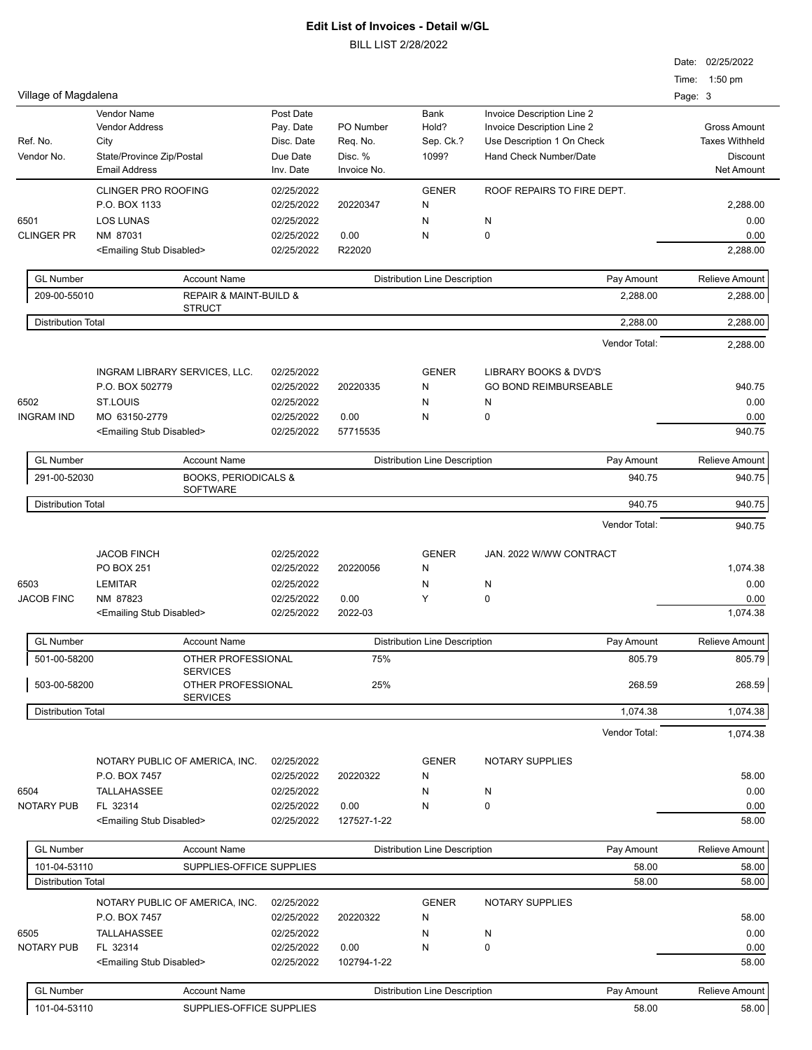| Village of Magdalena      |                                                                           |                                                  |                                  |                                      |                                                                                                                  | Date: 02/25/2022<br>Time: 1:50 pm<br>Page: 3             |
|---------------------------|---------------------------------------------------------------------------|--------------------------------------------------|----------------------------------|--------------------------------------|------------------------------------------------------------------------------------------------------------------|----------------------------------------------------------|
| Ref. No.<br>Vendor No.    | Vendor Name<br><b>Vendor Address</b><br>City<br>State/Province Zip/Postal | Post Date<br>Pay. Date<br>Disc. Date<br>Due Date | PO Number<br>Req. No.<br>Disc. % | Bank<br>Hold?<br>Sep. Ck.?<br>1099?  | Invoice Description Line 2<br>Invoice Description Line 2<br>Use Description 1 On Check<br>Hand Check Number/Date | <b>Gross Amount</b><br><b>Taxes Withheld</b><br>Discount |
|                           | <b>Email Address</b>                                                      | Inv. Date                                        | Invoice No.                      |                                      |                                                                                                                  | <b>Net Amount</b>                                        |
|                           | <b>CLINGER PRO ROOFING</b><br>P.O. BOX 1133                               | 02/25/2022<br>02/25/2022                         | 20220347                         | <b>GENER</b><br>N                    | ROOF REPAIRS TO FIRE DEPT.                                                                                       | 2,288.00                                                 |
| 6501                      | <b>LOS LUNAS</b>                                                          | 02/25/2022                                       |                                  | N                                    | N                                                                                                                | 0.00                                                     |
| <b>CLINGER PR</b>         | NM 87031<br><emailing disabled="" stub=""></emailing>                     | 02/25/2022<br>02/25/2022                         | 0.00<br>R22020                   | Ν                                    | 0                                                                                                                | 0.00<br>2,288.00                                         |
| <b>GL Number</b>          | <b>Account Name</b>                                                       |                                                  |                                  | <b>Distribution Line Description</b> | Pay Amount                                                                                                       | Relieve Amount                                           |
| 209-00-55010              | <b>REPAIR &amp; MAINT-BUILD &amp;</b><br><b>STRUCT</b>                    |                                                  |                                  |                                      | 2,288.00                                                                                                         | 2,288.00                                                 |
| <b>Distribution Total</b> |                                                                           |                                                  |                                  |                                      | 2,288.00                                                                                                         | 2,288.00                                                 |
|                           |                                                                           |                                                  |                                  |                                      | Vendor Total:                                                                                                    | 2,288.00                                                 |
|                           | INGRAM LIBRARY SERVICES, LLC.                                             | 02/25/2022                                       |                                  | <b>GENER</b>                         | LIBRARY BOOKS & DVD'S                                                                                            |                                                          |
|                           | P.O. BOX 502779                                                           | 02/25/2022                                       | 20220335                         | N                                    | <b>GO BOND REIMBURSEABLE</b>                                                                                     | 940.75                                                   |
| 6502<br><b>INGRAM IND</b> | ST.LOUIS<br>MO 63150-2779                                                 | 02/25/2022<br>02/25/2022                         | 0.00                             | N<br>Ν                               | N<br>$\pmb{0}$                                                                                                   | 0.00<br>0.00                                             |
|                           | <emailing disabled="" stub=""></emailing>                                 | 02/25/2022                                       | 57715535                         |                                      |                                                                                                                  | 940.75                                                   |
| <b>GL Number</b>          | <b>Account Name</b>                                                       |                                                  |                                  | <b>Distribution Line Description</b> | Pay Amount                                                                                                       | Relieve Amount                                           |
| 291-00-52030              | <b>BOOKS, PERIODICALS &amp;</b><br><b>SOFTWARE</b>                        |                                                  |                                  |                                      | 940.75                                                                                                           | 940.75                                                   |
| <b>Distribution Total</b> |                                                                           |                                                  |                                  |                                      | 940.75                                                                                                           | 940.75                                                   |
|                           |                                                                           |                                                  |                                  |                                      | Vendor Total:                                                                                                    | 940.75                                                   |
|                           | <b>JACOB FINCH</b>                                                        | 02/25/2022                                       |                                  | <b>GENER</b>                         | JAN. 2022 W/WW CONTRACT                                                                                          |                                                          |
|                           | PO BOX 251                                                                | 02/25/2022                                       | 20220056                         | N                                    |                                                                                                                  | 1,074.38                                                 |
| 6503                      | <b>LEMITAR</b>                                                            | 02/25/2022                                       |                                  | N                                    | N                                                                                                                | 0.00                                                     |
| <b>JACOB FINC</b>         | NM 87823                                                                  | 02/25/2022                                       | 0.00                             | Y                                    | $\pmb{0}$                                                                                                        | 0.00                                                     |
|                           | <emailing disabled="" stub=""></emailing>                                 | 02/25/2022                                       | 2022-03                          |                                      |                                                                                                                  | 1,074.38                                                 |
| <b>GL Number</b>          | <b>Account Name</b>                                                       |                                                  |                                  | <b>Distribution Line Description</b> | Pay Amount                                                                                                       | Relieve Amount                                           |
| 501-00-58200              | OTHER PROFESSIONAL<br><b>SERVICES</b>                                     |                                                  | 75%                              |                                      | 805.79                                                                                                           | 805.79                                                   |
| 503-00-58200              | OTHER PROFESSIONAL<br><b>SERVICES</b>                                     |                                                  | 25%                              |                                      | 268.59                                                                                                           | 268.59                                                   |
| <b>Distribution Total</b> |                                                                           |                                                  |                                  |                                      | 1,074.38                                                                                                         | 1,074.38                                                 |
|                           |                                                                           |                                                  |                                  |                                      | Vendor Total:                                                                                                    | 1,074.38                                                 |
|                           | NOTARY PUBLIC OF AMERICA, INC.<br>P.O. BOX 7457                           | 02/25/2022<br>02/25/2022                         | 20220322                         | <b>GENER</b><br>N                    | <b>NOTARY SUPPLIES</b>                                                                                           | 58.00                                                    |
| 6504                      | TALLAHASSEE                                                               | 02/25/2022                                       |                                  | N                                    | N                                                                                                                | 0.00                                                     |
| <b>NOTARY PUB</b>         | FL 32314                                                                  | 02/25/2022                                       | 0.00                             | N                                    | 0                                                                                                                | 0.00                                                     |
|                           | <emailing disabled="" stub=""></emailing>                                 | 02/25/2022                                       | 127527-1-22                      |                                      |                                                                                                                  | 58.00                                                    |
| <b>GL Number</b>          | <b>Account Name</b>                                                       |                                                  |                                  | <b>Distribution Line Description</b> | Pay Amount                                                                                                       | Relieve Amount                                           |
| 101-04-53110              | SUPPLIES-OFFICE SUPPLIES                                                  |                                                  |                                  |                                      | 58.00                                                                                                            | 58.00                                                    |
| <b>Distribution Total</b> |                                                                           |                                                  |                                  |                                      | 58.00                                                                                                            | 58.00                                                    |
|                           | NOTARY PUBLIC OF AMERICA, INC.<br>P.O. BOX 7457                           | 02/25/2022<br>02/25/2022                         | 20220322                         | <b>GENER</b><br>N                    | <b>NOTARY SUPPLIES</b>                                                                                           | 58.00                                                    |
| 6505                      | <b>TALLAHASSEE</b>                                                        | 02/25/2022                                       |                                  | N                                    | N                                                                                                                | 0.00                                                     |
| <b>NOTARY PUB</b>         | FL 32314                                                                  | 02/25/2022                                       | 0.00                             | N                                    | 0                                                                                                                | 0.00                                                     |
|                           | <emailing disabled="" stub=""></emailing>                                 | 02/25/2022                                       | 102794-1-22                      |                                      |                                                                                                                  | 58.00                                                    |
| <b>GL Number</b>          | <b>Account Name</b>                                                       |                                                  |                                  | <b>Distribution Line Description</b> | Pay Amount                                                                                                       | Relieve Amount                                           |
| 101-04-53110              | SUPPLIES-OFFICE SUPPLIES                                                  |                                                  |                                  |                                      | 58.00                                                                                                            | 58.00                                                    |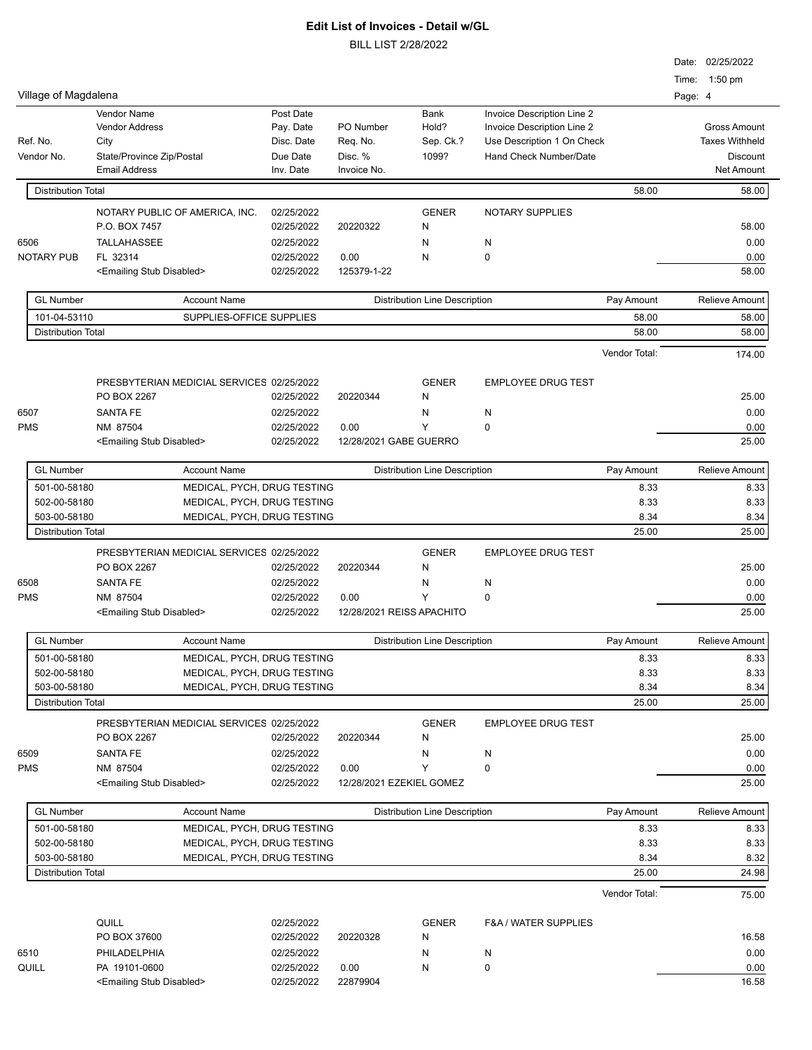| Village of Magdalena                      |                                           |                                                            |                        |                                             |                            | Time: 1:50 pm<br>Page: 4 | Date: 02/25/2022      |
|-------------------------------------------|-------------------------------------------|------------------------------------------------------------|------------------------|---------------------------------------------|----------------------------|--------------------------|-----------------------|
|                                           | Vendor Name                               | Post Date                                                  |                        | Bank                                        | Invoice Description Line 2 |                          |                       |
|                                           | <b>Vendor Address</b>                     | Pay. Date                                                  | PO Number              | Hold?                                       | Invoice Description Line 2 |                          | <b>Gross Amount</b>   |
| Ref. No.                                  | City                                      | Disc. Date                                                 | Req. No.               | Sep. Ck.?                                   | Use Description 1 On Check |                          | <b>Taxes Withheld</b> |
| Vendor No.                                | State/Province Zip/Postal                 | Due Date                                                   | Disc. %                | 1099?                                       | Hand Check Number/Date     |                          | <b>Discount</b>       |
|                                           | <b>Email Address</b>                      | Inv. Date                                                  | Invoice No.            |                                             |                            |                          | <b>Net Amount</b>     |
| <b>Distribution Total</b>                 |                                           |                                                            |                        |                                             | 58.00                      |                          | 58.00                 |
|                                           | NOTARY PUBLIC OF AMERICA, INC.            | 02/25/2022                                                 |                        | <b>GENER</b>                                | <b>NOTARY SUPPLIES</b>     |                          |                       |
|                                           | P.O. BOX 7457                             | 02/25/2022                                                 | 20220322               | N                                           |                            |                          | 58.00                 |
| 6506                                      | <b>TALLAHASSEE</b>                        | 02/25/2022                                                 |                        | N                                           | N                          |                          | 0.00                  |
| <b>NOTARY PUB</b>                         | FL 32314                                  | 02/25/2022                                                 | 0.00                   | N                                           | 0                          |                          | 0.00                  |
|                                           | <emailing disabled="" stub=""></emailing> | 02/25/2022                                                 | 125379-1-22            |                                             |                            |                          | 58.00                 |
| <b>GL Number</b>                          | <b>Account Name</b>                       |                                                            |                        | <b>Distribution Line Description</b>        | Pay Amount                 |                          | <b>Relieve Amount</b> |
| 101-04-53110                              | SUPPLIES-OFFICE SUPPLIES                  |                                                            |                        |                                             | 58.00                      |                          | 58.00                 |
| <b>Distribution Total</b>                 |                                           |                                                            |                        |                                             | 58.00                      |                          | 58.00                 |
|                                           |                                           |                                                            |                        |                                             | Vendor Total:              |                          | 174.00                |
|                                           |                                           |                                                            |                        |                                             |                            |                          |                       |
|                                           | PRESBYTERIAN MEDICIAL SERVICES 02/25/2022 |                                                            |                        | <b>GENER</b>                                | <b>EMPLOYEE DRUG TEST</b>  |                          |                       |
|                                           | PO BOX 2267                               | 02/25/2022                                                 | 20220344               | N                                           |                            |                          | 25.00                 |
| 6507                                      | <b>SANTA FE</b>                           | 02/25/2022                                                 |                        | N                                           | N                          |                          | 0.00                  |
| <b>PMS</b>                                | NM 87504                                  | 02/25/2022                                                 | 0.00                   | Υ                                           | $\mathbf 0$                |                          | 0.00                  |
|                                           | <emailing disabled="" stub=""></emailing> | 02/25/2022                                                 | 12/28/2021 GABE GUERRO |                                             |                            |                          | 25.00                 |
| <b>GL Number</b>                          | <b>Account Name</b>                       |                                                            |                        | Pay Amount<br>Distribution Line Description |                            |                          | Relieve Amount        |
| 501-00-58180                              | MEDICAL, PYCH, DRUG TESTING               |                                                            |                        |                                             | 8.33                       |                          | 8.33                  |
| 502-00-58180                              | MEDICAL, PYCH, DRUG TESTING               |                                                            |                        |                                             | 8.33                       |                          | 8.33                  |
| 503-00-58180                              | MEDICAL, PYCH, DRUG TESTING               |                                                            |                        |                                             | 8.34                       |                          | 8.34                  |
| <b>Distribution Total</b>                 |                                           |                                                            |                        |                                             | 25.00                      |                          | 25.00                 |
|                                           | PRESBYTERIAN MEDICIAL SERVICES 02/25/2022 |                                                            |                        | <b>GENER</b>                                | <b>EMPLOYEE DRUG TEST</b>  |                          |                       |
|                                           | PO BOX 2267                               | 02/25/2022                                                 | 20220344               | N                                           |                            |                          | 25.00                 |
| 6508                                      | <b>SANTA FE</b>                           | 02/25/2022                                                 |                        | N                                           | N                          |                          | 0.00                  |
| <b>PMS</b>                                | NM 87504                                  | 02/25/2022                                                 | 0.00                   | Υ                                           | 0                          |                          | 0.00                  |
|                                           | <emailing disabled="" stub=""></emailing> | 02/25/2022                                                 |                        | 12/28/2021 REISS APACHITO                   |                            |                          | 25.00                 |
| <b>GL Number</b>                          | <b>Account Name</b>                       |                                                            |                        | Distribution Line Description               | Pay Amount                 |                          | Relieve Amount        |
| 501-00-58180                              | MEDICAL, PYCH, DRUG TESTING               |                                                            |                        |                                             | 8.33                       |                          | 8.33                  |
| 502-00-58180                              | MEDICAL, PYCH, DRUG TESTING               |                                                            |                        |                                             | 8.33                       |                          | 8.33                  |
| 503-00-58180                              | MEDICAL, PYCH, DRUG TESTING               |                                                            |                        |                                             | 8.34                       |                          | 8.34                  |
| <b>Distribution Total</b>                 |                                           |                                                            |                        |                                             | 25.00                      |                          | 25.00                 |
|                                           | PRESBYTERIAN MEDICIAL SERVICES 02/25/2022 |                                                            |                        | <b>GENER</b>                                | <b>EMPLOYEE DRUG TEST</b>  |                          |                       |
|                                           | PO BOX 2267                               | 02/25/2022                                                 | 20220344               | N                                           |                            |                          | 25.00                 |
| 6509                                      | <b>SANTA FE</b>                           | 02/25/2022                                                 |                        | N                                           | N                          |                          | 0.00                  |
| <b>PMS</b>                                | NM 87504                                  | 02/25/2022                                                 | 0.00                   | Υ                                           | $\pmb{0}$                  |                          | 0.00                  |
|                                           | <emailing disabled="" stub=""></emailing> | 02/25/2022                                                 |                        | 12/28/2021 EZEKIEL GOMEZ                    |                            |                          | 25.00                 |
|                                           |                                           |                                                            |                        |                                             |                            |                          |                       |
| <b>GL Number</b>                          |                                           | <b>Account Name</b>                                        |                        | <b>Distribution Line Description</b>        | Pay Amount                 |                          | <b>Relieve Amount</b> |
| 501-00-58180<br>502-00-58180              |                                           | MEDICAL, PYCH, DRUG TESTING<br>MEDICAL, PYCH, DRUG TESTING |                        | 8.33<br>8.33                                |                            | 8.33<br>8.33             |                       |
|                                           |                                           |                                                            |                        |                                             |                            |                          |                       |
| 503-00-58180<br><b>Distribution Total</b> | MEDICAL, PYCH, DRUG TESTING               |                                                            |                        |                                             | 8.34<br>25.00              |                          | 8.32<br>24.98         |
|                                           |                                           |                                                            |                        |                                             |                            |                          |                       |
|                                           |                                           |                                                            |                        |                                             | Vendor Total:              |                          | 75.00                 |
|                                           | QUILL                                     | 02/25/2022                                                 |                        | <b>GENER</b>                                | F&A / WATER SUPPLIES       |                          |                       |
|                                           | PO BOX 37600                              | 02/25/2022                                                 | 20220328               | N                                           |                            |                          | 16.58                 |
| 6510                                      | PHILADELPHIA                              | 02/25/2022                                                 |                        | N                                           | N                          |                          | 0.00                  |
| QUILL                                     | PA 19101-0600                             | 02/25/2022                                                 | 0.00                   | N                                           | 0                          |                          | 0.00                  |
|                                           | <emailing disabled="" stub=""></emailing> |                                                            |                        |                                             |                            |                          |                       |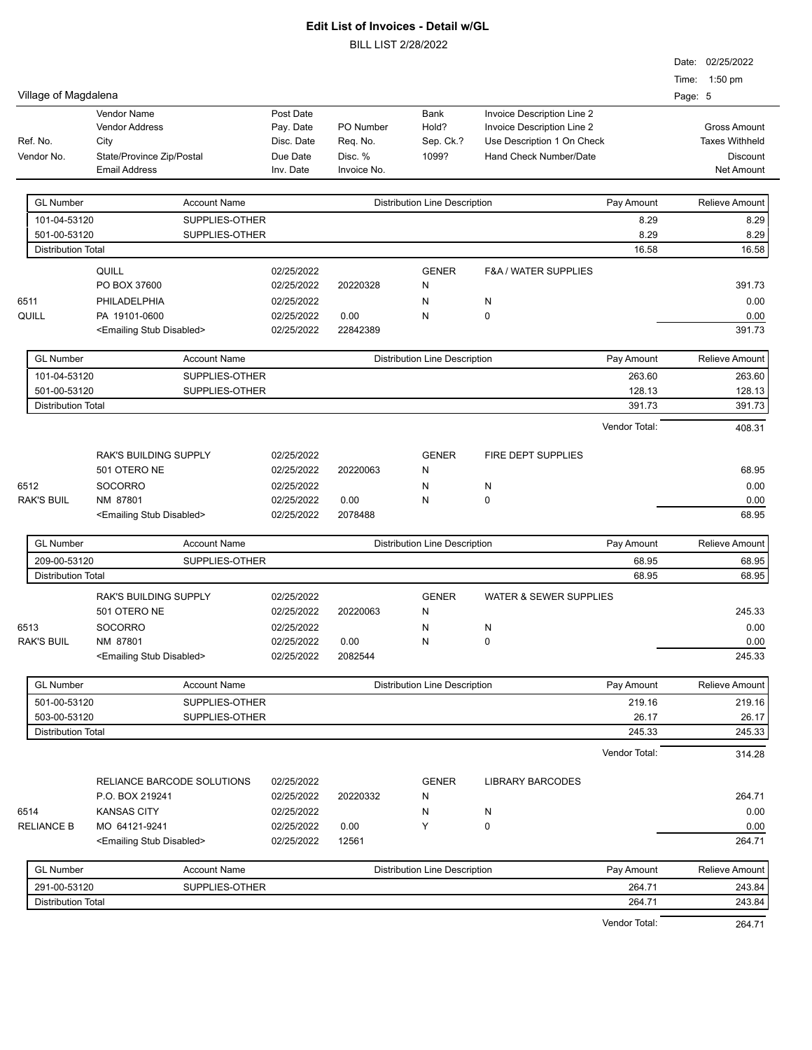|      |                           |                                               |                     |                          |             |                                      |                                   |               |         | Date: 02/25/2022      |
|------|---------------------------|-----------------------------------------------|---------------------|--------------------------|-------------|--------------------------------------|-----------------------------------|---------------|---------|-----------------------|
|      |                           |                                               |                     |                          |             |                                      |                                   |               |         | Time: 1:50 pm         |
|      | Village of Magdalena      |                                               |                     |                          |             |                                      |                                   |               | Page: 5 |                       |
|      |                           | <b>Vendor Name</b>                            |                     | Post Date                |             | Bank                                 | Invoice Description Line 2        |               |         |                       |
|      |                           | Vendor Address                                |                     | Pay. Date                | PO Number   | Hold?                                | Invoice Description Line 2        |               |         | <b>Gross Amount</b>   |
|      | Ref. No.                  | City                                          |                     | Disc. Date               | Req. No.    | Sep. Ck.?                            | Use Description 1 On Check        |               |         | <b>Taxes Withheld</b> |
|      | Vendor No.                | State/Province Zip/Postal                     |                     | Due Date                 | Disc. %     | 1099?                                | Hand Check Number/Date            |               |         | <b>Discount</b>       |
|      |                           | <b>Email Address</b>                          |                     | Inv. Date                | Invoice No. |                                      |                                   |               |         | <b>Net Amount</b>     |
|      | <b>GL Number</b>          |                                               | <b>Account Name</b> |                          |             | <b>Distribution Line Description</b> |                                   | Pay Amount    |         | Relieve Amount        |
|      | 101-04-53120              |                                               | SUPPLIES-OTHER      |                          |             |                                      |                                   | 8.29          |         | 8.29                  |
|      | 501-00-53120              |                                               | SUPPLIES-OTHER      |                          |             |                                      |                                   | 8.29          |         | 8.29                  |
|      | <b>Distribution Total</b> |                                               |                     |                          |             |                                      |                                   | 16.58         |         | 16.58                 |
|      |                           | QUILL                                         |                     | 02/25/2022               |             | <b>GENER</b>                         | <b>F&amp;A / WATER SUPPLIES</b>   |               |         |                       |
|      |                           | PO BOX 37600                                  |                     | 02/25/2022               | 20220328    | N                                    |                                   |               |         | 391.73                |
| 6511 |                           | PHILADELPHIA                                  |                     | 02/25/2022               |             | N                                    | N                                 |               |         | 0.00                  |
|      | QUILL                     | PA 19101-0600                                 |                     | 02/25/2022               | 0.00        | N                                    | 0                                 |               |         | 0.00                  |
|      |                           | <emailing disabled="" stub=""></emailing>     |                     | 02/25/2022               | 22842389    |                                      |                                   |               |         | 391.73                |
|      |                           |                                               |                     |                          |             |                                      |                                   |               |         |                       |
|      | <b>GL Number</b>          |                                               | <b>Account Name</b> |                          |             | <b>Distribution Line Description</b> |                                   | Pay Amount    |         | Relieve Amount        |
|      | 101-04-53120              |                                               | SUPPLIES-OTHER      |                          |             |                                      |                                   | 263.60        |         | 263.60                |
|      | 501-00-53120              |                                               | SUPPLIES-OTHER      |                          |             |                                      |                                   | 128.13        |         | 128.13                |
|      | <b>Distribution Total</b> |                                               |                     |                          |             |                                      |                                   | 391.73        |         | 391.73                |
|      |                           |                                               |                     |                          |             |                                      |                                   | Vendor Total: |         | 408.31                |
|      |                           |                                               |                     |                          |             |                                      |                                   |               |         |                       |
|      |                           | RAK'S BUILDING SUPPLY                         |                     | 02/25/2022               |             | <b>GENER</b>                         | FIRE DEPT SUPPLIES                |               |         |                       |
|      |                           | 501 OTERO NE                                  |                     | 02/25/2022               | 20220063    | Ν                                    |                                   |               |         | 68.95                 |
| 6512 |                           | <b>SOCORRO</b>                                |                     | 02/25/2022               |             | N                                    | N                                 |               |         | 0.00                  |
|      | <b>RAK'S BUIL</b>         | NM 87801                                      |                     | 02/25/2022               | 0.00        | N                                    | 0                                 |               |         | 0.00                  |
|      |                           | <emailing disabled="" stub=""></emailing>     |                     | 02/25/2022               | 2078488     |                                      |                                   |               |         | 68.95                 |
|      | <b>GL Number</b>          |                                               | <b>Account Name</b> |                          |             | <b>Distribution Line Description</b> |                                   | Pay Amount    |         | Relieve Amount        |
|      | 209-00-53120              |                                               | SUPPLIES-OTHER      |                          |             |                                      |                                   | 68.95         |         | 68.95                 |
|      | <b>Distribution Total</b> |                                               |                     |                          |             |                                      |                                   | 68.95         |         | 68.95                 |
|      |                           | RAK'S BUILDING SUPPLY                         |                     | 02/25/2022               |             | <b>GENER</b>                         | <b>WATER &amp; SEWER SUPPLIES</b> |               |         |                       |
|      |                           | 501 OTERO NE                                  |                     | 02/25/2022               | 20220063    | N                                    |                                   |               |         | 245.33                |
| 6513 |                           | <b>SOCORRO</b>                                |                     | 02/25/2022               |             | N                                    | N                                 |               |         | 0.00                  |
|      | <b>RAK'S BUIL</b>         | NM 87801                                      |                     | 02/25/2022               | 0.00        | N                                    | $\Omega$                          |               |         | 0.00                  |
|      |                           | <emailing disabled="" stub=""></emailing>     |                     | 02/25/2022               | 2082544     |                                      |                                   |               |         | 245.33                |
|      |                           |                                               |                     |                          |             |                                      |                                   |               |         |                       |
|      | <b>GL Number</b>          |                                               | <b>Account Name</b> |                          |             | <b>Distribution Line Description</b> |                                   | Pay Amount    |         | Relieve Amount        |
|      | 501-00-53120              |                                               | SUPPLIES-OTHER      |                          |             |                                      |                                   | 219.16        |         | 219.16                |
|      | 503-00-53120              |                                               | SUPPLIES-OTHER      |                          |             |                                      |                                   | 26.17         |         | 26.17                 |
|      | <b>Distribution Total</b> |                                               |                     |                          |             |                                      |                                   | 245.33        |         | 245.33                |
|      |                           |                                               |                     |                          |             |                                      |                                   | Vendor Total: |         | 314.28                |
|      |                           |                                               |                     |                          |             |                                      |                                   |               |         |                       |
|      |                           | RELIANCE BARCODE SOLUTIONS<br>P.O. BOX 219241 |                     | 02/25/2022<br>02/25/2022 | 20220332    | <b>GENER</b><br>Ν                    | <b>LIBRARY BARCODES</b>           |               |         | 264.71                |
|      |                           |                                               |                     |                          |             |                                      |                                   |               |         |                       |
| 6514 | <b>RELIANCE B</b>         | <b>KANSAS CITY</b><br>MO 64121-9241           |                     | 02/25/2022<br>02/25/2022 | 0.00        | N<br>Υ                               | N<br>0                            |               |         | 0.00<br>0.00          |
|      |                           |                                               |                     |                          |             |                                      |                                   |               |         |                       |
|      |                           | <emailing disabled="" stub=""></emailing>     |                     | 02/25/2022               | 12561       |                                      |                                   |               |         | 264.71                |
|      | <b>GL Number</b>          | <b>Account Name</b>                           |                     |                          |             | <b>Distribution Line Description</b> |                                   | Pay Amount    |         | Relieve Amount        |
|      | 291-00-53120              |                                               | SUPPLIES-OTHER      |                          |             |                                      |                                   | 264.71        |         | 243.84                |
|      | <b>Distribution Total</b> |                                               |                     |                          |             |                                      |                                   | 264.71        |         | 243.84                |
|      |                           |                                               |                     |                          |             |                                      |                                   | Vendor Total: |         | 264.71                |